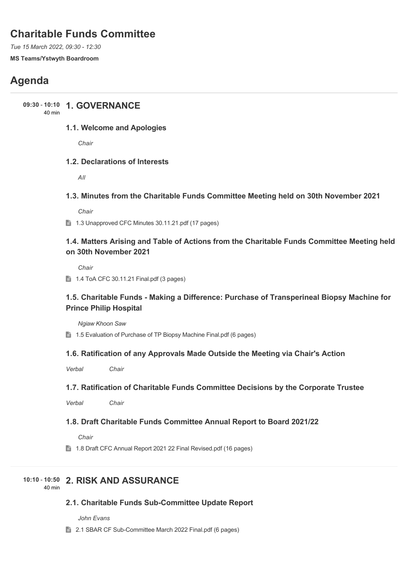# **Charitable Funds Committee**

*Tue 15 March 2022, 09:30 - 12:30* **MS Teams/Ystwyth Boardroom**

# **Agenda**

**1. GOVERNANCE 09:30** - **10:10**

40 min

## **1.1. Welcome and Apologies**

*Chair*

## **1.2. Declarations of Interests**

*All*

## **1.3. Minutes from the Charitable Funds Committee Meeting held on 30th November 2021**

*Chair*

1.3 Unapproved CFC Minutes 30.11.21.pdf (17 pages)

## **1.4. Matters Arising and Table of Actions from the Charitable Funds Committee Meeting held on 30th November 2021**

*Chair*

 $\parallel$  1.4 ToA CFC 30.11.21 Final.pdf (3 pages)

## **1.5. Charitable Funds - Making a Difference: Purchase of Transperineal Biopsy Machine for Prince Philip Hospital**

*Ngiaw Khoon Saw*

**■ 1.5 Evaluation of Purchase of TP Biopsy Machine Final.pdf (6 pages)** 

## **1.6. Ratification of any Approvals Made Outside the Meeting via Chair's Action**

*Verbal Chair*

## **1.7. Ratification of Charitable Funds Committee Decisions by the Corporate Trustee**

*Verbal Chair*

## **1.8. Draft Charitable Funds Committee Annual Report to Board 2021/22**

*Chair*

**■ 1.8 Draft CFC Annual Report 2021 22 Final Revised.pdf (16 pages)** 

## **2. RISK AND ASSURANCE 10:10** - **10:50**

40 min

## **2.1. Charitable Funds Sub-Committee Update Report**

*John Evans*

**■ 2.1 SBAR CF Sub-Committee March 2022 Final.pdf (6 pages)**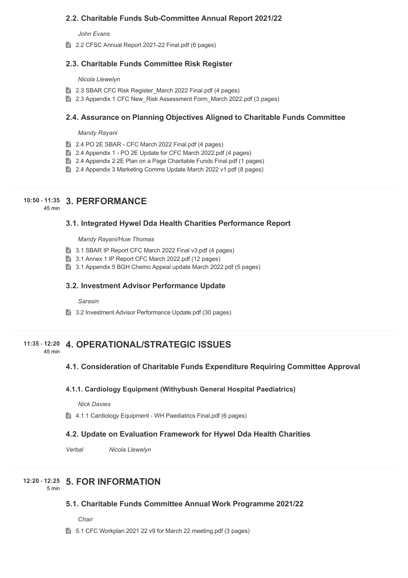## **2.2. Charitable Funds Sub-Committee Annual Report 2021/22**

*John Evans*

■ 2.2 CFSC Annual Report 2021-22 Final.pdf (6 pages)

## **2.3. Charitable Funds Committee Risk Register**

#### *Nicola Llewelyn*

- **2.3 SBAR CFC Risk Register March 2022 Final.pdf (4 pages)**
- **2.3 Appendix 1 CFC New Risk Assessment Form March 2022.pdf (3 pages)**

## **2.4. Assurance on Planning Objectives Aligned to Charitable Funds Committee**

*Mandy Rayani*

- 2.4 PO 2E SBAR CFC March 2022 Final.pdf (4 pages)
- 2.4 Appendix 1 PO 2E Update for CFC March 2022.pdf (4 pages)
- **2.4 Appendix 2 2E Plan on a Page Charitable Funds Final.pdf (1 pages)**
- 2.4 Appendix 3 Marketing Comms Update March 2022 v1.pdf (8 pages)

## **3. PERFORMANCE 10:50** - **11:35**

45 min

## **3.1. Integrated Hywel Dda Health Charities Performance Report**

*Mandy Rayani/Huw Thomas*

- 3.1 SBAR IP Report CFC March 2022 Final v3.pdf (4 pages)
- 3.1 Annex 1 IP Report CFC March 2022.pdf (12 pages)
- 3.1 Appendix 5 BGH Chemo Appeal update March 2022.pdf (5 pages)

## **3.2. Investment Advisor Performance Update**

*Sarasin*

3.2 Investment Advisor Performance Update.pdf (30 pages)

#### **4. OPERATIONAL/STRATEGIC ISSUES 11:35** - **12:20** 45 min

## **4.1. Consideration of Charitable Funds Expenditure Requiring Committee Approval**

### **4.1.1. Cardiology Equipment (Withybush General Hospital Paediatrics)**

*Nick Davies*

■ 4.1.1 Cardiology Equipment - WH Paediatrics Final.pdf (6 pages)

## **4.2. Update on Evaluation Framework for Hywel Dda Health Charities**

*Verbal Nicola Llewelyn*

## **5. FOR INFORMATION 12:20** - **12:25**

5 min

## **5.1. Charitable Funds Committee Annual Work Programme 2021/22**

*Chair*

5.1 CFC Workplan 2021 22 v9 for March 22 meeting.pdf (3 pages)